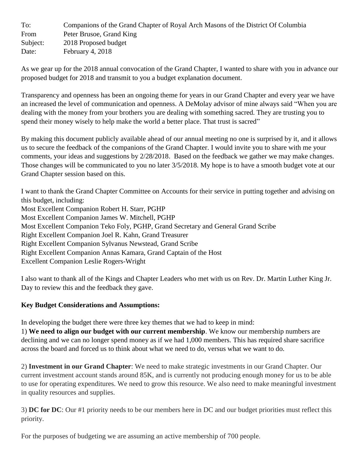| To:      | Companions of the Grand Chapter of Royal Arch Masons of the District Of Columbia |
|----------|----------------------------------------------------------------------------------|
| From     | Peter Brusoe, Grand King                                                         |
| Subject: | 2018 Proposed budget                                                             |
| Date:    | February 4, 2018                                                                 |

As we gear up for the 2018 annual convocation of the Grand Chapter, I wanted to share with you in advance our proposed budget for 2018 and transmit to you a budget explanation document.

Transparency and openness has been an ongoing theme for years in our Grand Chapter and every year we have an increased the level of communication and openness. A DeMolay advisor of mine always said "When you are dealing with the money from your brothers you are dealing with something sacred. They are trusting you to spend their money wisely to help make the world a better place. That trust is sacred"

By making this document publicly available ahead of our annual meeting no one is surprised by it, and it allows us to secure the feedback of the companions of the Grand Chapter. I would invite you to share with me your comments, your ideas and suggestions by 2/28/2018. Based on the feedback we gather we may make changes. Those changes will be communicated to you no later 3/5/2018. My hope is to have a smooth budget vote at our Grand Chapter session based on this.

I want to thank the Grand Chapter Committee on Accounts for their service in putting together and advising on this budget, including: Most Excellent Companion Robert H. Starr, PGHP Most Excellent Companion James W. Mitchell, PGHP Most Excellent Companion Teko Foly, PGHP, Grand Secretary and General Grand Scribe Right Excellent Companion Joel R. Kahn, Grand Treasurer Right Excellent Companion Sylvanus Newstead, Grand Scribe Right Excellent Companion Annas Kamara, Grand Captain of the Host Excellent Companion Leslie Rogers-Wright

I also want to thank all of the Kings and Chapter Leaders who met with us on Rev. Dr. Martin Luther King Jr. Day to review this and the feedback they gave.

# **Key Budget Considerations and Assumptions:**

In developing the budget there were three key themes that we had to keep in mind:

1) **We need to align our budget with our current membership**. We know our membership numbers are declining and we can no longer spend money as if we had 1,000 members. This has required share sacrifice across the board and forced us to think about what we need to do, versus what we want to do.

2) **Investment in our Grand Chapter**: We need to make strategic investments in our Grand Chapter. Our current investment account stands around 85K, and is currently not producing enough money for us to be able to use for operating expenditures. We need to grow this resource. We also need to make meaningful investment in quality resources and supplies.

3) **DC for DC**: Our #1 priority needs to be our members here in DC and our budget priorities must reflect this priority.

For the purposes of budgeting we are assuming an active membership of 700 people.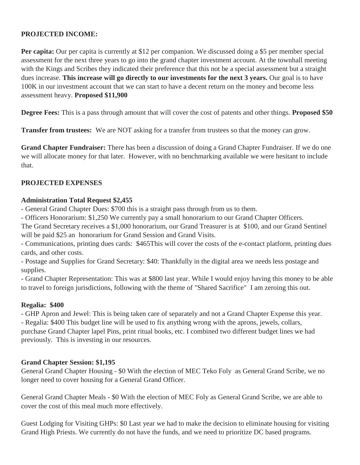# **PROJECTED INCOME:**

**Per capita:** Our per capita is currently at \$12 per companion. We discussed doing a \$5 per member special assessment for the next three years to go into the grand chapter investment account. At the townhall meeting with the Kings and Scribes they indicated their preference that this not be a special assessment but a straight dues increase. **This increase will go directly to our investments for the next 3 years.** Our goal is to have 100K in our investment account that we can start to have a decent return on the money and become less assessment heavy. **Proposed \$11,900**

**Degree Fees:** This is a pass through amount that will cover the cost of patents and other things. **Proposed \$50**

**Transfer from trustees:** We are NOT asking for a transfer from trustees so that the money can grow.

**Grand Chapter Fundraiser:** There has been a discussion of doing a Grand Chapter Fundraiser. If we do one we will allocate money for that later. However, with no benchmarking available we were hesitant to include that.

### **PROJECTED EXPENSES**

### **Administration Total Request \$2,455**

- General Grand Chapter Dues: \$700 this is a straight pass through from us to them.

- Officers Honorarium: \$1,250 We currently pay a small honorarium to our Grand Chapter Officers.

The Grand Secretary receives a \$1,000 honorarium, our Grand Treasurer is at \$100, and our Grand Sentinel will be paid \$25 an honorarium for Grand Session and Grand Visits.

- Communications, printing dues cards: \$465This will cover the costs of the e-contact platform, printing dues cards, and other costs.

- Postage and Supplies for Grand Secretary: \$40: Thankfully in the digital area we needs less postage and supplies.

- Grand Chapter Representation: This was at \$800 last year. While I would enjoy having this money to be able to travel to foreign jurisdictions, following with the theme of "Shared Sacrifice" I am zeroing this out.

# **Regalia: \$400**

- GHP Apron and Jewel: This is being taken care of separately and not a Grand Chapter Expense this year. - Regalia: \$400 This budget line will be used to fix anything wrong with the aprons, jewels, collars, purchase Grand Chapter lapel Pins, print ritual books, etc. I combined two different budget lines we had previously. This is investing in our resources.

### **Grand Chapter Session: \$1,195**

General Grand Chapter Housing - \$0 With the election of MEC Teko Foly as General Grand Scribe, we no longer need to cover housing for a General Grand Officer.

General Grand Chapter Meals - \$0 With the election of MEC Foly as General Grand Scribe, we are able to cover the cost of this meal much more effectively.

Guest Lodging for Visiting GHPs: \$0 Last year we had to make the decision to eliminate housing for visiting Grand High Priests. We currently do not have the funds, and we need to prioritize DC based programs.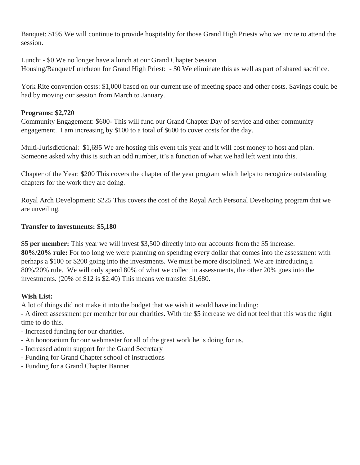Banquet: \$195 We will continue to provide hospitality for those Grand High Priests who we invite to attend the session.

Lunch: - \$0 We no longer have a lunch at our Grand Chapter Session Housing/Banquet/Luncheon for Grand High Priest: - \$0 We eliminate this as well as part of shared sacrifice.

York Rite convention costs: \$1,000 based on our current use of meeting space and other costs. Savings could be had by moving our session from March to January.

# **Programs: \$2,720**

Community Engagement: \$600- This will fund our Grand Chapter Day of service and other community engagement. I am increasing by \$100 to a total of \$600 to cover costs for the day.

Multi-Jurisdictional: \$1,695 We are hosting this event this year and it will cost money to host and plan. Someone asked why this is such an odd number, it's a function of what we had left went into this.

Chapter of the Year: \$200 This covers the chapter of the year program which helps to recognize outstanding chapters for the work they are doing.

Royal Arch Development: \$225 This covers the cost of the Royal Arch Personal Developing program that we are unveiling.

# **Transfer to investments: \$5,180**

**\$5 per member:** This year we will invest \$3,500 directly into our accounts from the \$5 increase. **80%/20% rule:** For too long we were planning on spending every dollar that comes into the assessment with perhaps a \$100 or \$200 going into the investments. We must be more disciplined. We are introducing a 80%/20% rule. We will only spend 80% of what we collect in assessments, the other 20% goes into the investments. (20% of \$12 is \$2.40) This means we transfer \$1,680.

# **Wish List:**

A lot of things did not make it into the budget that we wish it would have including:

- A direct assessment per member for our charities. With the \$5 increase we did not feel that this was the right time to do this.

- Increased funding for our charities.
- An honorarium for our webmaster for all of the great work he is doing for us.
- Increased admin support for the Grand Secretary
- Funding for Grand Chapter school of instructions
- Funding for a Grand Chapter Banner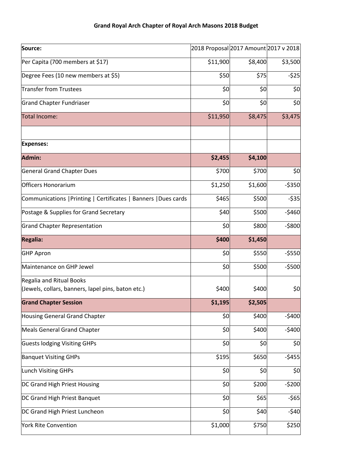| Source:                                                         | 2018 Proposal 2017 Amount 2017 v 2018 |         |         |
|-----------------------------------------------------------------|---------------------------------------|---------|---------|
| Per Capita (700 members at \$17)                                | \$11,900                              | \$8,400 | \$3,500 |
| Degree Fees (10 new members at \$5)                             | \$50                                  | \$75    | $-525$  |
| <b>Transfer from Trustees</b>                                   | \$0                                   | \$0     | \$0     |
| Grand Chapter Fundriaser                                        | \$0                                   | \$0     | \$0     |
| Total Income:                                                   | \$11,950                              | \$8,475 | \$3,475 |
| <b>Expenses:</b>                                                |                                       |         |         |
| Admin:                                                          | \$2,455                               | \$4,100 |         |
| <b>General Grand Chapter Dues</b>                               | \$700                                 | \$700   | \$0     |
| <b>Officers Honorarium</b>                                      | \$1,250                               | \$1,600 | $-5350$ |
| Communications   Printing   Certificates   Banners   Dues cards | \$465                                 | \$500   | $-535$  |
| Postage & Supplies for Grand Secretary                          | \$40                                  | \$500   | $-5460$ |
| Grand Chapter Representation                                    | \$0                                   | \$800   | $-5800$ |
| <b>Regalia:</b>                                                 | \$400                                 | \$1,450 |         |
| <b>GHP Apron</b>                                                | \$0                                   | \$550   | $-5550$ |
| Maintenance on GHP Jewel                                        | \$0                                   | \$500   | $-5500$ |
| Regalia and Ritual Books                                        |                                       |         |         |
| (Jewels, collars, banners, lapel pins, baton etc.)              | \$400                                 | \$400   | \$0     |
| <b>Grand Chapter Session</b>                                    | \$1,195                               | \$2,505 |         |
| Housing General Grand Chapter                                   | \$0                                   | \$400   | $-5400$ |
| Meals General Grand Chapter                                     | \$0                                   | \$400   | $-5400$ |
| <b>Guests lodging Visiting GHPs</b>                             | \$0                                   | \$0     | \$0     |
| <b>Banquet Visiting GHPs</b>                                    | \$195                                 | \$650   | $-5455$ |
| Lunch Visiting GHPs                                             | \$0                                   | \$0     | \$0     |
| DC Grand High Priest Housing                                    | \$0                                   | \$200   | $-5200$ |
| DC Grand High Priest Banquet                                    | \$0                                   | \$65    | $-565$  |
| DC Grand High Priest Luncheon                                   | \$0                                   | \$40    | $-540$  |
| <b>York Rite Convention</b>                                     | \$1,000                               | \$750   | \$250   |